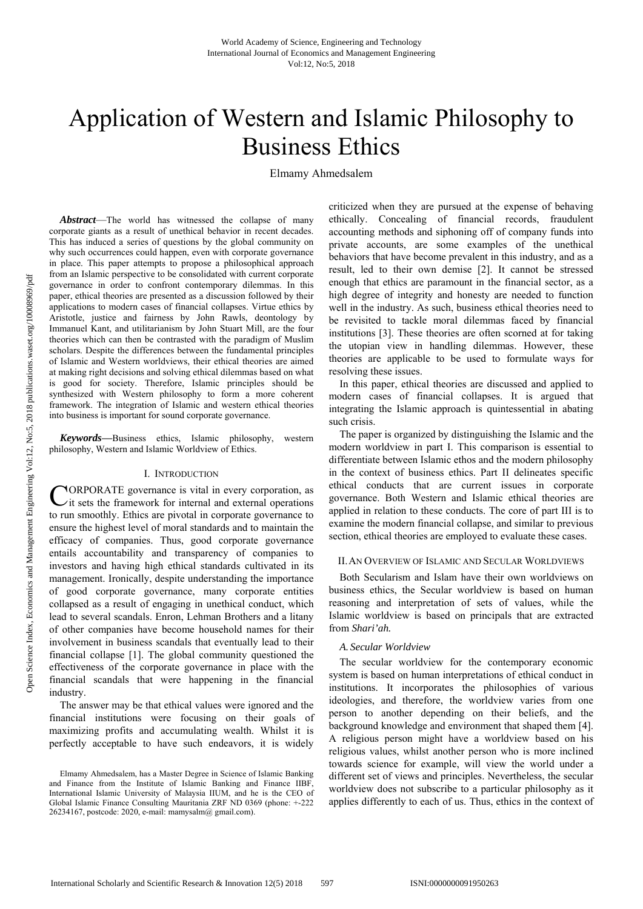# Application of Western and Islamic Philosophy to Business Ethics

Elmamy Ahmedsalem

*Abstract*—The world has witnessed the collapse of many corporate giants as a result of unethical behavior in recent decades. This has induced a series of questions by the global community on why such occurrences could happen, even with corporate governance in place. This paper attempts to propose a philosophical approach from an Islamic perspective to be consolidated with current corporate governance in order to confront contemporary dilemmas. In this paper, ethical theories are presented as a discussion followed by their applications to modern cases of financial collapses. Virtue ethics by Aristotle, justice and fairness by John Rawls, deontology by Immanuel Kant, and utilitarianism by John Stuart Mill, are the four theories which can then be contrasted with the paradigm of Muslim scholars. Despite the differences between the fundamental principles of Islamic and Western worldviews, their ethical theories are aimed at making right decisions and solving ethical dilemmas based on what is good for society. Therefore, Islamic principles should be synthesized with Western philosophy to form a more coherent framework. The integration of Islamic and western ethical theories into business is important for sound corporate governance.

*Keywords***—**Business ethics, Islamic philosophy, western philosophy, Western and Islamic Worldview of Ethics.

#### I. INTRODUCTION

ORPORATE governance is vital in every corporation, as CORPORATE governance is vital in every corporation, as  $C$  it sets the framework for internal and external operations to run smoothly. Ethics are pivotal in corporate governance to ensure the highest level of moral standards and to maintain the efficacy of companies. Thus, good corporate governance entails accountability and transparency of companies to investors and having high ethical standards cultivated in its management. Ironically, despite understanding the importance of good corporate governance, many corporate entities collapsed as a result of engaging in unethical conduct, which lead to several scandals. Enron, Lehman Brothers and a litany of other companies have become household names for their involvement in business scandals that eventually lead to their financial collapse [1]. The global community questioned the effectiveness of the corporate governance in place with the financial scandals that were happening in the financial industry.

The answer may be that ethical values were ignored and the financial institutions were focusing on their goals of maximizing profits and accumulating wealth. Whilst it is perfectly acceptable to have such endeavors, it is widely

criticized when they are pursued at the expense of behaving ethically. Concealing of financial records, fraudulent accounting methods and siphoning off of company funds into private accounts, are some examples of the unethical behaviors that have become prevalent in this industry, and as a result, led to their own demise [2]. It cannot be stressed enough that ethics are paramount in the financial sector, as a high degree of integrity and honesty are needed to function well in the industry. As such, business ethical theories need to be revisited to tackle moral dilemmas faced by financial institutions [3]. These theories are often scorned at for taking the utopian view in handling dilemmas. However, these theories are applicable to be used to formulate ways for resolving these issues.

In this paper, ethical theories are discussed and applied to modern cases of financial collapses. It is argued that integrating the Islamic approach is quintessential in abating such crisis.

The paper is organized by distinguishing the Islamic and the modern worldview in part I. This comparison is essential to differentiate between Islamic ethos and the modern philosophy in the context of business ethics. Part II delineates specific ethical conducts that are current issues in corporate governance. Both Western and Islamic ethical theories are applied in relation to these conducts. The core of part III is to examine the modern financial collapse, and similar to previous section, ethical theories are employed to evaluate these cases.

#### II.AN OVERVIEW OF ISLAMIC AND SECULAR WORLDVIEWS

Both Secularism and Islam have their own worldviews on business ethics, the Secular worldview is based on human reasoning and interpretation of sets of values, while the Islamic worldview is based on principals that are extracted from *Shari'ah.* 

#### *A. Secular Worldview*

The secular worldview for the contemporary economic system is based on human interpretations of ethical conduct in institutions. It incorporates the philosophies of various ideologies, and therefore, the worldview varies from one person to another depending on their beliefs, and the background knowledge and environment that shaped them [4]. A religious person might have a worldview based on his religious values, whilst another person who is more inclined towards science for example, will view the world under a different set of views and principles. Nevertheless, the secular worldview does not subscribe to a particular philosophy as it applies differently to each of us. Thus, ethics in the context of

Elmamy Ahmedsalem, has a Master Degree in Science of Islamic Banking and Finance from the Institute of Islamic Banking and Finance IIBF, International Islamic University of Malaysia IIUM, and he is the CEO of Global Islamic Finance Consulting Mauritania ZRF ND 0369 (phone: +-222 26234167, postcode: 2020, e-mail: mamysalm@ gmail.com).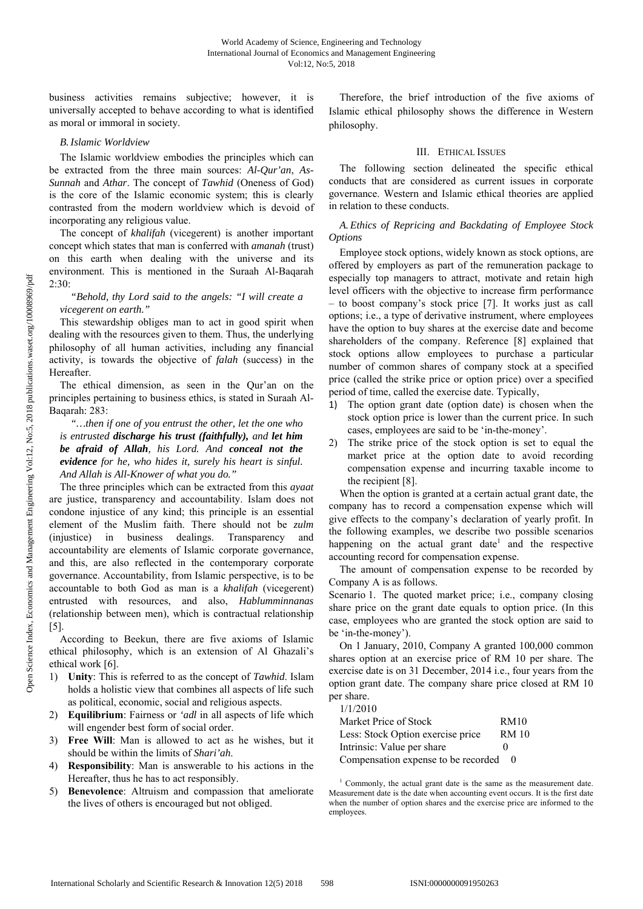business activities remains subjective; however, it is universally accepted to behave according to what is identified as moral or immoral in society.

#### *B.Islamic Worldview*

The Islamic worldview embodies the principles which can be extracted from the three main sources: *Al-Qur'an*, *As-Sunnah* and *Athar*. The concept of *Tawhid* (Oneness of God) is the core of the Islamic economic system; this is clearly contrasted from the modern worldview which is devoid of incorporating any religious value.

The concept of *khalifah* (vicegerent) is another important concept which states that man is conferred with *amanah* (trust) on this earth when dealing with the universe and its environment. This is mentioned in the Suraah Al-Baqarah 2:30:

## *"Behold, thy Lord said to the angels: "I will create a vicegerent on earth."*

This stewardship obliges man to act in good spirit when dealing with the resources given to them. Thus, the underlying philosophy of all human activities, including any financial activity, is towards the objective of *falah* (success) in the Hereafter.

The ethical dimension, as seen in the Qur'an on the principles pertaining to business ethics, is stated in Suraah Al-Baqarah: 283:

*"…then if one of you entrust the other, let the one who is entrusted discharge his trust (faithfully), and let him be afraid of Allah, his Lord. And conceal not the evidence for he, who hides it, surely his heart is sinful. And Allah is All-Knower of what you do."* 

The three principles which can be extracted from this *ayaat* are justice, transparency and accountability. Islam does not condone injustice of any kind; this principle is an essential element of the Muslim faith. There should not be *zulm* (injustice) in business dealings. Transparency and accountability are elements of Islamic corporate governance, and this, are also reflected in the contemporary corporate governance. Accountability, from Islamic perspective, is to be accountable to both God as man is a *khalifah* (vicegerent) entrusted with resources, and also, *Hablumminnanas* (relationship between men), which is contractual relationship [5].

According to Beekun, there are five axioms of Islamic ethical philosophy, which is an extension of Al Ghazali's ethical work [6].

- 1) **Unity**: This is referred to as the concept of *Tawhid*. Islam holds a holistic view that combines all aspects of life such as political, economic, social and religious aspects.
- 2) **Equilibrium**: Fairness or *'adl* in all aspects of life which will engender best form of social order.
- 3) **Free Will**: Man is allowed to act as he wishes, but it should be within the limits of *Shari'ah*.
- 4) **Responsibility**: Man is answerable to his actions in the Hereafter, thus he has to act responsibly.
- 5) **Benevolence**: Altruism and compassion that ameliorate the lives of others is encouraged but not obliged.

Therefore, the brief introduction of the five axioms of Islamic ethical philosophy shows the difference in Western philosophy.

## III. ETHICAL ISSUES

The following section delineated the specific ethical conducts that are considered as current issues in corporate governance. Western and Islamic ethical theories are applied in relation to these conducts.

## *A. Ethics of Repricing and Backdating of Employee Stock Options*

Employee stock options, widely known as stock options, are offered by employers as part of the remuneration package to especially top managers to attract, motivate and retain high level officers with the objective to increase firm performance – to boost company's stock price [7]. It works just as call options; i.e., a type of derivative instrument, where employees have the option to buy shares at the exercise date and become shareholders of the company. Reference [8] explained that stock options allow employees to purchase a particular number of common shares of company stock at a specified price (called the strike price or option price) over a specified period of time, called the exercise date. Typically,

- 1) The option grant date (option date) is chosen when the stock option price is lower than the current price. In such cases, employees are said to be 'in-the-money'.
- 2) The strike price of the stock option is set to equal the market price at the option date to avoid recording compensation expense and incurring taxable income to the recipient [8].

When the option is granted at a certain actual grant date, the company has to record a compensation expense which will give effects to the company's declaration of yearly profit. In the following examples, we describe two possible scenarios happening on the actual grant date<sup>1</sup> and the respective accounting record for compensation expense.

The amount of compensation expense to be recorded by Company A is as follows.

Scenario 1. The quoted market price; i.e., company closing share price on the grant date equals to option price. (In this case, employees who are granted the stock option are said to be 'in-the-money').

On 1 January, 2010, Company A granted 100,000 common shares option at an exercise price of RM 10 per share. The exercise date is on 31 December, 2014 i.e., four years from the option grant date. The company share price closed at RM 10 per share.

#### 1/1/2010

| Market Price of Stock               | <b>RM10</b>  |
|-------------------------------------|--------------|
| Less: Stock Option exercise price   | <b>RM</b> 10 |
| Intrinsic: Value per share          |              |
| Compensation expense to be recorded |              |

<sup>&</sup>lt;sup>1</sup> Commonly, the actual grant date is the same as the measurement date. Measurement date is the date when accounting event occurs. It is the first date when the number of option shares and the exercise price are informed to the employees.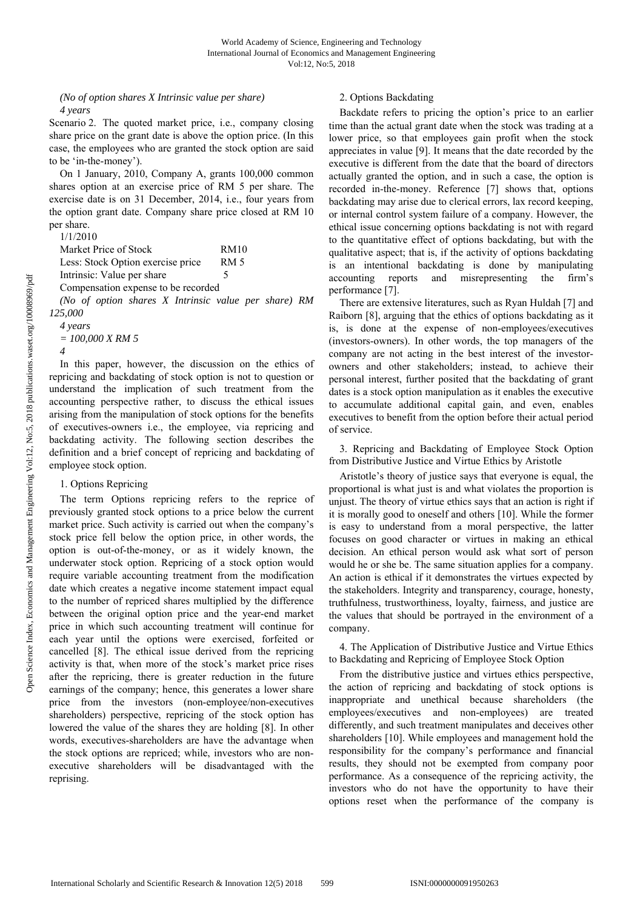# *(No of option shares X Intrinsic value per share) 4 years*

Scenario 2. The quoted market price, i.e., company closing share price on the grant date is above the option price. (In this case, the employees who are granted the stock option are said to be 'in-the-money').

On 1 January, 2010, Company A, grants 100,000 common shares option at an exercise price of RM 5 per share. The exercise date is on 31 December, 2014, i.e., four years from the option grant date. Company share price closed at RM 10 per share.

|  | 1/1/2010 |  |  |
|--|----------|--|--|
|  |          |  |  |

| Market Price of Stock             |         | <b>RM10</b> |
|-----------------------------------|---------|-------------|
| Less: Stock Option exercise price |         | <b>RM 5</b> |
| Intrinsic: Value per share        |         |             |
|                                   | - 1 - 1 |             |

Compensation expense to be recorded

*(No of option shares X Intrinsic value per share) RM 125,000* 

*4 years = 100,000 X RM 5 4* 

In this paper, however, the discussion on the ethics of repricing and backdating of stock option is not to question or understand the implication of such treatment from the accounting perspective rather, to discuss the ethical issues arising from the manipulation of stock options for the benefits of executives-owners i.e., the employee, via repricing and backdating activity. The following section describes the definition and a brief concept of repricing and backdating of employee stock option.

## 1. Options Repricing

The term Options repricing refers to the reprice of previously granted stock options to a price below the current market price. Such activity is carried out when the company's stock price fell below the option price, in other words, the option is out-of-the-money, or as it widely known, the underwater stock option. Repricing of a stock option would require variable accounting treatment from the modification date which creates a negative income statement impact equal to the number of repriced shares multiplied by the difference between the original option price and the year-end market price in which such accounting treatment will continue for each year until the options were exercised, forfeited or cancelled [8]. The ethical issue derived from the repricing activity is that, when more of the stock's market price rises after the repricing, there is greater reduction in the future earnings of the company; hence, this generates a lower share price from the investors (non-employee/non-executives shareholders) perspective, repricing of the stock option has lowered the value of the shares they are holding [8]. In other words, executives-shareholders are have the advantage when the stock options are repriced; while, investors who are nonexecutive shareholders will be disadvantaged with the reprising.

# 2. Options Backdating

Backdate refers to pricing the option's price to an earlier time than the actual grant date when the stock was trading at a lower price, so that employees gain profit when the stock appreciates in value [9]. It means that the date recorded by the executive is different from the date that the board of directors actually granted the option, and in such a case, the option is recorded in-the-money. Reference [7] shows that, options backdating may arise due to clerical errors, lax record keeping, or internal control system failure of a company. However, the ethical issue concerning options backdating is not with regard to the quantitative effect of options backdating, but with the qualitative aspect; that is, if the activity of options backdating is an intentional backdating is done by manipulating accounting reports and misrepresenting the firm's performance [7].

There are extensive literatures, such as Ryan Huldah [7] and Raiborn [8], arguing that the ethics of options backdating as it is, is done at the expense of non-employees/executives (investors-owners). In other words, the top managers of the company are not acting in the best interest of the investorowners and other stakeholders; instead, to achieve their personal interest, further posited that the backdating of grant dates is a stock option manipulation as it enables the executive to accumulate additional capital gain, and even, enables executives to benefit from the option before their actual period of service.

3. Repricing and Backdating of Employee Stock Option from Distributive Justice and Virtue Ethics by Aristotle

Aristotle's theory of justice says that everyone is equal, the proportional is what just is and what violates the proportion is unjust. The theory of virtue ethics says that an action is right if it is morally good to oneself and others [10]. While the former is easy to understand from a moral perspective, the latter focuses on good character or virtues in making an ethical decision. An ethical person would ask what sort of person would he or she be. The same situation applies for a company. An action is ethical if it demonstrates the virtues expected by the stakeholders. Integrity and transparency, courage, honesty, truthfulness, trustworthiness, loyalty, fairness, and justice are the values that should be portrayed in the environment of a company.

4. The Application of Distributive Justice and Virtue Ethics to Backdating and Repricing of Employee Stock Option

From the distributive justice and virtues ethics perspective, the action of repricing and backdating of stock options is inappropriate and unethical because shareholders (the employees/executives and non-employees) are treated differently, and such treatment manipulates and deceives other shareholders [10]. While employees and management hold the responsibility for the company's performance and financial results, they should not be exempted from company poor performance. As a consequence of the repricing activity, the investors who do not have the opportunity to have their options reset when the performance of the company is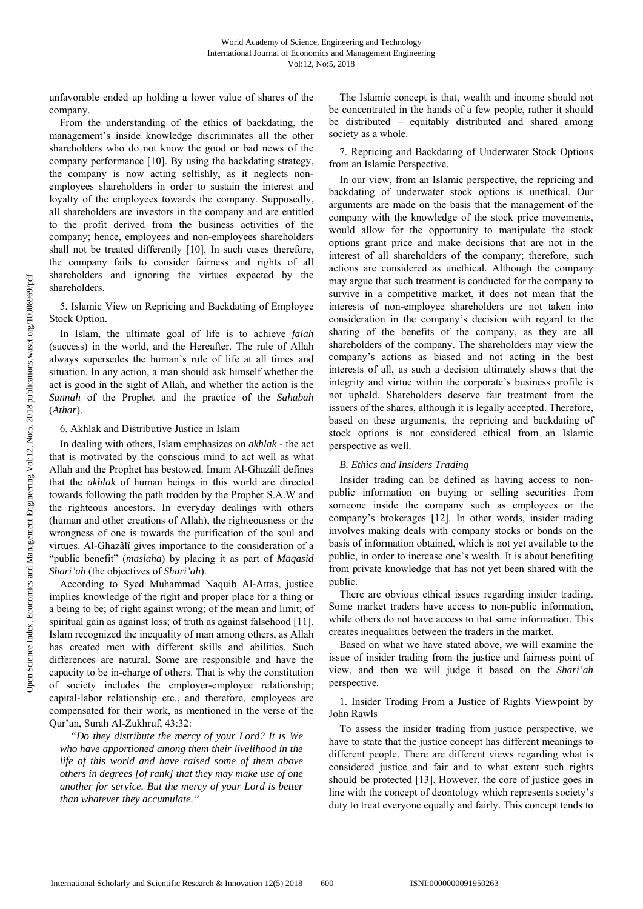unfavorable ended up holding a lower value of shares of the company.

From the understanding of the ethics of backdating, the management's inside knowledge discriminates all the other shareholders who do not know the good or bad news of the company performance [10]. By using the backdating strategy, the company is now acting selfishly, as it neglects nonemployees shareholders in order to sustain the interest and loyalty of the employees towards the company. Supposedly, all shareholders are investors in the company and are entitled to the profit derived from the business activities of the company; hence, employees and non-employees shareholders shall not be treated differently [10]. In such cases therefore, the company fails to consider fairness and rights of all shareholders and ignoring the virtues expected by the shareholders.

5. Islamic View on Repricing and Backdating of Employee Stock Option.

In Islam, the ultimate goal of life is to achieve *falah* (success) in the world, and the Hereafter. The rule of Allah always supersedes the human's rule of life at all times and situation. In any action, a man should ask himself whether the act is good in the sight of Allah, and whether the action is the *Sunnah* of the Prophet and the practice of the *Sahabah*  (*Athar*).

#### 6. Akhlak and Distributive Justice in Islam

In dealing with others, Islam emphasizes on *akhlak* - the act that is motivated by the conscious mind to act well as what Allah and the Prophet has bestowed. Imam Al-Ghazâlî defines that the *akhlak* of human beings in this world are directed towards following the path trodden by the Prophet S.A.W and the righteous ancestors. In everyday dealings with others (human and other creations of Allah), the righteousness or the wrongness of one is towards the purification of the soul and virtues. Al-Ghazâlî gives importance to the consideration of a "public benefit" (*maslaha*) by placing it as part of *Maqasid Shari'ah* (the objectives of *Shari'ah*).

According to Syed Muhammad Naquib Al-Attas, justice implies knowledge of the right and proper place for a thing or a being to be; of right against wrong; of the mean and limit; of spiritual gain as against loss; of truth as against falsehood [11]. Islam recognized the inequality of man among others, as Allah has created men with different skills and abilities. Such differences are natural. Some are responsible and have the capacity to be in-charge of others. That is why the constitution of society includes the employer-employee relationship; capital-labor relationship etc., and therefore, employees are compensated for their work, as mentioned in the verse of the Qur'an, Surah Al-Zukhruf, 43:32:

*"Do they distribute the mercy of your Lord? It is We who have apportioned among them their livelihood in the life of this world and have raised some of them above others in degrees [of rank] that they may make use of one another for service. But the mercy of your Lord is better than whatever they accumulate."* 

The Islamic concept is that, wealth and income should not be concentrated in the hands of a few people, rather it should be distributed – equitably distributed and shared among society as a whole.

7. Repricing and Backdating of Underwater Stock Options from an Islamic Perspective.

In our view, from an Islamic perspective, the repricing and backdating of underwater stock options is unethical. Our arguments are made on the basis that the management of the company with the knowledge of the stock price movements, would allow for the opportunity to manipulate the stock options grant price and make decisions that are not in the interest of all shareholders of the company; therefore, such actions are considered as unethical. Although the company may argue that such treatment is conducted for the company to survive in a competitive market, it does not mean that the interests of non-employee shareholders are not taken into consideration in the company's decision with regard to the sharing of the benefits of the company, as they are all shareholders of the company. The shareholders may view the company's actions as biased and not acting in the best interests of all, as such a decision ultimately shows that the integrity and virtue within the corporate's business profile is not upheld. Shareholders deserve fair treatment from the issuers of the shares, although it is legally accepted. Therefore, based on these arguments, the repricing and backdating of stock options is not considered ethical from an Islamic perspective as well.

#### *B. Ethics and Insiders Trading*

Insider trading can be defined as having access to nonpublic information on buying or selling securities from someone inside the company such as employees or the company's brokerages [12]. In other words, insider trading involves making deals with company stocks or bonds on the basis of information obtained, which is not yet available to the public, in order to increase one's wealth. It is about benefiting from private knowledge that has not yet been shared with the public.

There are obvious ethical issues regarding insider trading. Some market traders have access to non-public information, while others do not have access to that same information. This creates inequalities between the traders in the market.

Based on what we have stated above, we will examine the issue of insider trading from the justice and fairness point of view, and then we will judge it based on the *Shari'ah*  perspective*.* 

1. Insider Trading From a Justice of Rights Viewpoint by John Rawls

To assess the insider trading from justice perspective, we have to state that the justice concept has different meanings to different people. There are different views regarding what is considered justice and fair and to what extent such rights should be protected [13]. However, the core of justice goes in line with the concept of deontology which represents society's duty to treat everyone equally and fairly. This concept tends to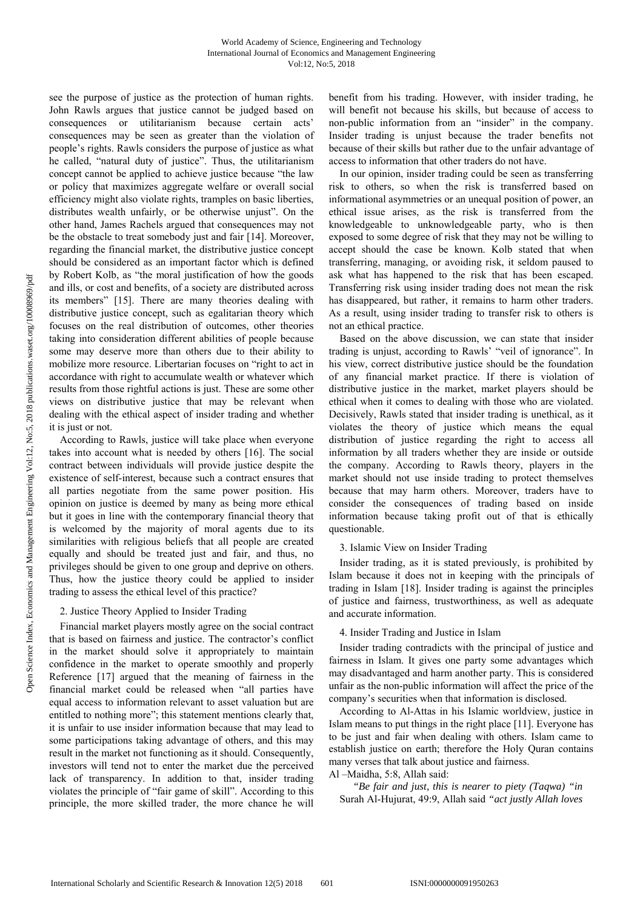see the purpose of justice as the protection of human rights. John Rawls argues that justice cannot be judged based on consequences or utilitarianism because certain acts' consequences may be seen as greater than the violation of people's rights. Rawls considers the purpose of justice as what he called, "natural duty of justice". Thus, the utilitarianism concept cannot be applied to achieve justice because "the law or policy that maximizes aggregate welfare or overall social efficiency might also violate rights, tramples on basic liberties, distributes wealth unfairly, or be otherwise unjust". On the other hand, James Rachels argued that consequences may not be the obstacle to treat somebody just and fair [14]. Moreover, regarding the financial market, the distributive justice concept should be considered as an important factor which is defined by Robert Kolb, as "the moral justification of how the goods and ills, or cost and benefits, of a society are distributed across its members" [15]. There are many theories dealing with distributive justice concept, such as egalitarian theory which focuses on the real distribution of outcomes, other theories taking into consideration different abilities of people because some may deserve more than others due to their ability to mobilize more resource. Libertarian focuses on "right to act in accordance with right to accumulate wealth or whatever which results from those rightful actions is just. These are some other views on distributive justice that may be relevant when dealing with the ethical aspect of insider trading and whether it is just or not.

According to Rawls, justice will take place when everyone takes into account what is needed by others [16]. The social contract between individuals will provide justice despite the existence of self-interest, because such a contract ensures that all parties negotiate from the same power position. His opinion on justice is deemed by many as being more ethical but it goes in line with the contemporary financial theory that is welcomed by the majority of moral agents due to its similarities with religious beliefs that all people are created equally and should be treated just and fair, and thus, no privileges should be given to one group and deprive on others. Thus, how the justice theory could be applied to insider trading to assess the ethical level of this practice?

## 2. Justice Theory Applied to Insider Trading

Financial market players mostly agree on the social contract that is based on fairness and justice. The contractor's conflict in the market should solve it appropriately to maintain confidence in the market to operate smoothly and properly Reference [17] argued that the meaning of fairness in the financial market could be released when "all parties have equal access to information relevant to asset valuation but are entitled to nothing more"; this statement mentions clearly that, it is unfair to use insider information because that may lead to some participations taking advantage of others, and this may result in the market not functioning as it should. Consequently, investors will tend not to enter the market due the perceived lack of transparency. In addition to that, insider trading violates the principle of "fair game of skill". According to this principle, the more skilled trader, the more chance he will benefit from his trading. However, with insider trading, he will benefit not because his skills, but because of access to non-public information from an "insider" in the company. Insider trading is unjust because the trader benefits not because of their skills but rather due to the unfair advantage of access to information that other traders do not have.

In our opinion, insider trading could be seen as transferring risk to others, so when the risk is transferred based on informational asymmetries or an unequal position of power, an ethical issue arises, as the risk is transferred from the knowledgeable to unknowledgeable party, who is then exposed to some degree of risk that they may not be willing to accept should the case be known. Kolb stated that when transferring, managing, or avoiding risk, it seldom paused to ask what has happened to the risk that has been escaped. Transferring risk using insider trading does not mean the risk has disappeared, but rather, it remains to harm other traders. As a result, using insider trading to transfer risk to others is not an ethical practice.

Based on the above discussion, we can state that insider trading is unjust, according to Rawls' "veil of ignorance". In his view, correct distributive justice should be the foundation of any financial market practice. If there is violation of distributive justice in the market, market players should be ethical when it comes to dealing with those who are violated. Decisively, Rawls stated that insider trading is unethical, as it violates the theory of justice which means the equal distribution of justice regarding the right to access all information by all traders whether they are inside or outside the company. According to Rawls theory, players in the market should not use inside trading to protect themselves because that may harm others. Moreover, traders have to consider the consequences of trading based on inside information because taking profit out of that is ethically questionable.

#### 3. Islamic View on Insider Trading

Insider trading, as it is stated previously, is prohibited by Islam because it does not in keeping with the principals of trading in Islam [18]. Insider trading is against the principles of justice and fairness, trustworthiness, as well as adequate and accurate information.

#### 4. Insider Trading and Justice in Islam

Insider trading contradicts with the principal of justice and fairness in Islam. It gives one party some advantages which may disadvantaged and harm another party. This is considered unfair as the non-public information will affect the price of the company's securities when that information is disclosed.

According to Al-Attas in his Islamic worldview, justice in Islam means to put things in the right place [11]. Everyone has to be just and fair when dealing with others. Islam came to establish justice on earth; therefore the Holy Quran contains many verses that talk about justice and fairness.

Al –Maidha, 5:8, Allah said:

*"Be fair and just, this is nearer to piety (Taqwa) "in* Surah Al-Hujurat, 49:9, Allah said *"act justly Allah loves*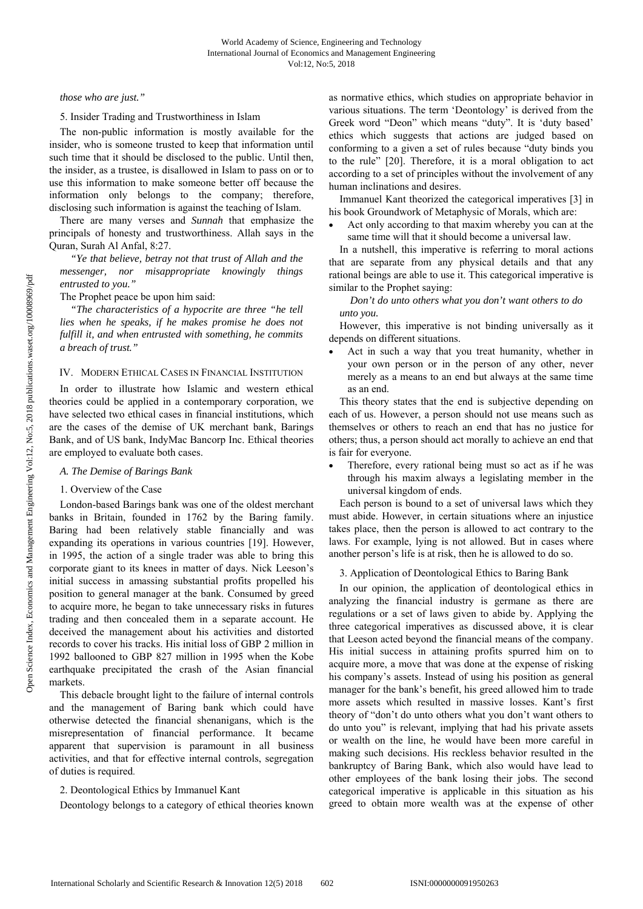*those who are just."*

5. Insider Trading and Trustworthiness in Islam

The non-public information is mostly available for the insider, who is someone trusted to keep that information until such time that it should be disclosed to the public. Until then, the insider, as a trustee, is disallowed in Islam to pass on or to use this information to make someone better off because the information only belongs to the company; therefore, disclosing such information is against the teaching of Islam.

There are many verses and *Sunnah* that emphasize the principals of honesty and trustworthiness. Allah says in the Quran, Surah Al Anfal, 8:27.

*"Ye that believe, betray not that trust of Allah and the messenger, nor misappropriate knowingly things entrusted to you."* 

The Prophet peace be upon him said:

*"The characteristics of a hypocrite are three "he tell lies when he speaks, if he makes promise he does not fulfill it, and when entrusted with something, he commits a breach of trust."* 

## IV. MODERN ETHICAL CASES IN FINANCIAL INSTITUTION

In order to illustrate how Islamic and western ethical theories could be applied in a contemporary corporation, we have selected two ethical cases in financial institutions, which are the cases of the demise of UK merchant bank, Barings Bank, and of US bank, IndyMac Bancorp Inc. Ethical theories are employed to evaluate both cases.

#### *A. The Demise of Barings Bank*

#### 1. Overview of the Case

London-based Barings bank was one of the oldest merchant banks in Britain, founded in 1762 by the Baring family. Baring had been relatively stable financially and was expanding its operations in various countries [19]. However, in 1995, the action of a single trader was able to bring this corporate giant to its knees in matter of days. Nick Leeson's initial success in amassing substantial profits propelled his position to general manager at the bank. Consumed by greed to acquire more, he began to take unnecessary risks in futures trading and then concealed them in a separate account. He deceived the management about his activities and distorted records to cover his tracks. His initial loss of GBP 2 million in 1992 ballooned to GBP 827 million in 1995 when the Kobe earthquake precipitated the crash of the Asian financial markets.

This debacle brought light to the failure of internal controls and the management of Baring bank which could have otherwise detected the financial shenanigans, which is the misrepresentation of financial performance. It became apparent that supervision is paramount in all business activities, and that for effective internal controls, segregation of duties is required.

#### 2. Deontological Ethics by Immanuel Kant

Deontology belongs to a category of ethical theories known

as normative ethics, which studies on appropriate behavior in various situations. The term 'Deontology' is derived from the Greek word "Deon" which means "duty". It is 'duty based' ethics which suggests that actions are judged based on conforming to a given a set of rules because "duty binds you to the rule" [20]. Therefore, it is a moral obligation to act according to a set of principles without the involvement of any human inclinations and desires.

Immanuel Kant theorized the categorical imperatives [3] in his book Groundwork of Metaphysic of Morals, which are:

 Act only according to that maxim whereby you can at the same time will that it should become a universal law.

In a nutshell, this imperative is referring to moral actions that are separate from any physical details and that any rational beings are able to use it. This categorical imperative is similar to the Prophet saying:

*Don't do unto others what you don't want others to do unto you.*

However, this imperative is not binding universally as it depends on different situations.

 Act in such a way that you treat humanity, whether in your own person or in the person of any other, never merely as a means to an end but always at the same time as an end.

This theory states that the end is subjective depending on each of us. However, a person should not use means such as themselves or others to reach an end that has no justice for others; thus, a person should act morally to achieve an end that is fair for everyone.

 Therefore, every rational being must so act as if he was through his maxim always a legislating member in the universal kingdom of ends.

Each person is bound to a set of universal laws which they must abide. However, in certain situations where an injustice takes place, then the person is allowed to act contrary to the laws. For example, lying is not allowed. But in cases where another person's life is at risk, then he is allowed to do so.

3. Application of Deontological Ethics to Baring Bank

In our opinion, the application of deontological ethics in analyzing the financial industry is germane as there are regulations or a set of laws given to abide by. Applying the three categorical imperatives as discussed above, it is clear that Leeson acted beyond the financial means of the company. His initial success in attaining profits spurred him on to acquire more, a move that was done at the expense of risking his company's assets. Instead of using his position as general manager for the bank's benefit, his greed allowed him to trade more assets which resulted in massive losses. Kant's first theory of "don't do unto others what you don't want others to do unto you" is relevant, implying that had his private assets or wealth on the line, he would have been more careful in making such decisions. His reckless behavior resulted in the bankruptcy of Baring Bank, which also would have lead to other employees of the bank losing their jobs. The second categorical imperative is applicable in this situation as his greed to obtain more wealth was at the expense of other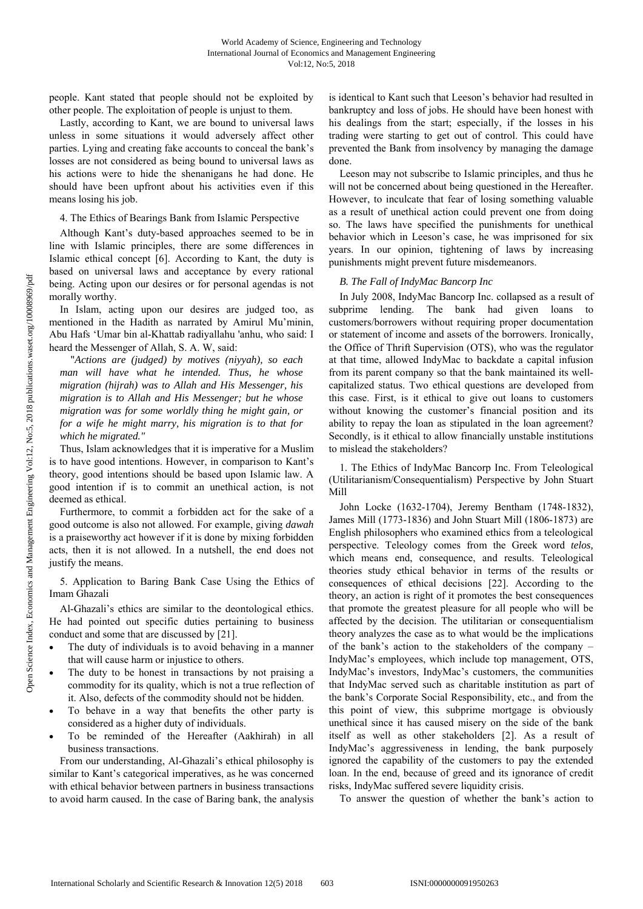people. Kant stated that people should not be exploited by other people. The exploitation of people is unjust to them.

Lastly, according to Kant, we are bound to universal laws unless in some situations it would adversely affect other parties. Lying and creating fake accounts to conceal the bank's losses are not considered as being bound to universal laws as his actions were to hide the shenanigans he had done. He should have been upfront about his activities even if this means losing his job.

## 4. The Ethics of Bearings Bank from Islamic Perspective

Although Kant's duty-based approaches seemed to be in line with Islamic principles, there are some differences in Islamic ethical concept [6]. According to Kant, the duty is based on universal laws and acceptance by every rational being. Acting upon our desires or for personal agendas is not morally worthy.

In Islam, acting upon our desires are judged too, as mentioned in the Hadith as narrated by Amirul Mu'minin, Abu Hafs 'Umar bin al-Khattab radiyallahu 'anhu, who said: I heard the Messenger of Allah, S. A. W, said:

"*Actions are (judged) by motives (niyyah), so each man will have what he intended. Thus, he whose migration (hijrah) was to Allah and His Messenger, his migration is to Allah and His Messenger; but he whose migration was for some worldly thing he might gain, or for a wife he might marry, his migration is to that for which he migrated."* 

Thus, Islam acknowledges that it is imperative for a Muslim is to have good intentions. However, in comparison to Kant's theory, good intentions should be based upon Islamic law. A good intention if is to commit an unethical action, is not deemed as ethical.

Furthermore, to commit a forbidden act for the sake of a good outcome is also not allowed. For example, giving *dawah* is a praiseworthy act however if it is done by mixing forbidden acts, then it is not allowed. In a nutshell, the end does not justify the means.

5. Application to Baring Bank Case Using the Ethics of Imam Ghazali

Al-Ghazali's ethics are similar to the deontological ethics. He had pointed out specific duties pertaining to business conduct and some that are discussed by [21].

- The duty of individuals is to avoid behaving in a manner that will cause harm or injustice to others.
- The duty to be honest in transactions by not praising a commodity for its quality, which is not a true reflection of it. Also, defects of the commodity should not be hidden.
- To behave in a way that benefits the other party is considered as a higher duty of individuals.
- To be reminded of the Hereafter (Aakhirah) in all business transactions.

From our understanding, Al-Ghazali's ethical philosophy is similar to Kant's categorical imperatives, as he was concerned with ethical behavior between partners in business transactions to avoid harm caused. In the case of Baring bank, the analysis is identical to Kant such that Leeson's behavior had resulted in bankruptcy and loss of jobs. He should have been honest with his dealings from the start; especially, if the losses in his trading were starting to get out of control. This could have prevented the Bank from insolvency by managing the damage done.

Leeson may not subscribe to Islamic principles, and thus he will not be concerned about being questioned in the Hereafter. However, to inculcate that fear of losing something valuable as a result of unethical action could prevent one from doing so. The laws have specified the punishments for unethical behavior which in Leeson's case, he was imprisoned for six years. In our opinion, tightening of laws by increasing punishments might prevent future misdemeanors.

# *B. The Fall of IndyMac Bancorp Inc*

In July 2008, IndyMac Bancorp Inc. collapsed as a result of subprime lending. The bank had given loans to customers/borrowers without requiring proper documentation or statement of income and assets of the borrowers. Ironically, the Office of Thrift Supervision (OTS), who was the regulator at that time, allowed IndyMac to backdate a capital infusion from its parent company so that the bank maintained its wellcapitalized status. Two ethical questions are developed from this case. First, is it ethical to give out loans to customers without knowing the customer's financial position and its ability to repay the loan as stipulated in the loan agreement? Secondly, is it ethical to allow financially unstable institutions to mislead the stakeholders?

1. The Ethics of IndyMac Bancorp Inc. From Teleological (Utilitarianism/Consequentialism) Perspective by John Stuart Mill

John Locke (1632-1704), Jeremy Bentham (1748-1832), James Mill (1773-1836) and John Stuart Mill (1806-1873) are English philosophers who examined ethics from a teleological perspective. Teleology comes from the Greek word *telos,* which means end, consequence, and results. Teleological theories study ethical behavior in terms of the results or consequences of ethical decisions [22]. According to the theory, an action is right of it promotes the best consequences that promote the greatest pleasure for all people who will be affected by the decision. The utilitarian or consequentialism theory analyzes the case as to what would be the implications of the bank's action to the stakeholders of the company – IndyMac's employees, which include top management, OTS, IndyMac's investors, IndyMac's customers, the communities that IndyMac served such as charitable institution as part of the bank's Corporate Social Responsibility, etc., and from the this point of view, this subprime mortgage is obviously unethical since it has caused misery on the side of the bank itself as well as other stakeholders [2]. As a result of IndyMac's aggressiveness in lending, the bank purposely ignored the capability of the customers to pay the extended loan. In the end, because of greed and its ignorance of credit risks, IndyMac suffered severe liquidity crisis.

To answer the question of whether the bank's action to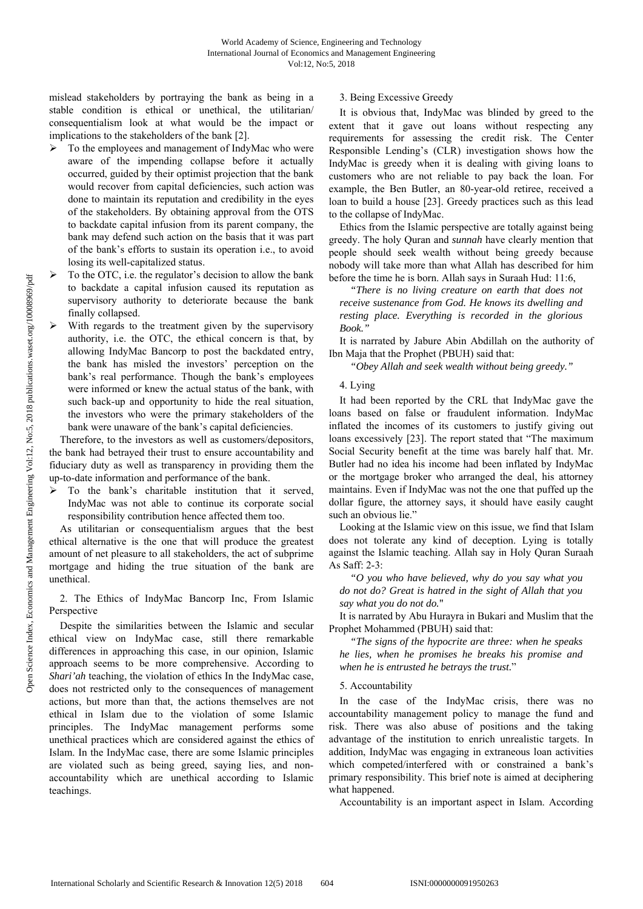mislead stakeholders by portraying the bank as being in a stable condition is ethical or unethical, the utilitarian/ consequentialism look at what would be the impact or implications to the stakeholders of the bank [2].

- $\triangleright$  To the employees and management of IndyMac who were aware of the impending collapse before it actually occurred, guided by their optimist projection that the bank would recover from capital deficiencies, such action was done to maintain its reputation and credibility in the eyes of the stakeholders. By obtaining approval from the OTS to backdate capital infusion from its parent company, the bank may defend such action on the basis that it was part of the bank's efforts to sustain its operation i.e., to avoid losing its well-capitalized status.
- $\triangleright$  To the OTC, i.e. the regulator's decision to allow the bank to backdate a capital infusion caused its reputation as supervisory authority to deteriorate because the bank finally collapsed.
- With regards to the treatment given by the supervisory authority, i.e. the OTC, the ethical concern is that, by allowing IndyMac Bancorp to post the backdated entry, the bank has misled the investors' perception on the bank's real performance. Though the bank's employees were informed or knew the actual status of the bank, with such back-up and opportunity to hide the real situation, the investors who were the primary stakeholders of the bank were unaware of the bank's capital deficiencies.

Therefore, to the investors as well as customers/depositors, the bank had betrayed their trust to ensure accountability and fiduciary duty as well as transparency in providing them the up-to-date information and performance of the bank.

 $\triangleright$  To the bank's charitable institution that it served, IndyMac was not able to continue its corporate social responsibility contribution hence affected them too.

As utilitarian or consequentialism argues that the best ethical alternative is the one that will produce the greatest amount of net pleasure to all stakeholders, the act of subprime mortgage and hiding the true situation of the bank are unethical.

## 2. The Ethics of IndyMac Bancorp Inc, From Islamic Perspective

Despite the similarities between the Islamic and secular ethical view on IndyMac case, still there remarkable differences in approaching this case, in our opinion, Islamic approach seems to be more comprehensive. According to *Shari'ah* teaching, the violation of ethics In the IndyMac case, does not restricted only to the consequences of management actions, but more than that, the actions themselves are not ethical in Islam due to the violation of some Islamic principles. The IndyMac management performs some unethical practices which are considered against the ethics of Islam. In the IndyMac case, there are some Islamic principles are violated such as being greed, saying lies, and nonaccountability which are unethical according to Islamic teachings.

# 3. Being Excessive Greedy

It is obvious that, IndyMac was blinded by greed to the extent that it gave out loans without respecting any requirements for assessing the credit risk. The Center Responsible Lending's (CLR) investigation shows how the IndyMac is greedy when it is dealing with giving loans to customers who are not reliable to pay back the loan. For example, the Ben Butler, an 80-year-old retiree, received a loan to build a house [23]. Greedy practices such as this lead to the collapse of IndyMac.

Ethics from the Islamic perspective are totally against being greedy. The holy Quran and *sunnah* have clearly mention that people should seek wealth without being greedy because nobody will take more than what Allah has described for him before the time he is born. Allah says in Suraah Hud: 11:6,

*"There is no living creature on earth that does not receive sustenance from God. He knows its dwelling and resting place. Everything is recorded in the glorious Book."* 

It is narrated by Jabure Abin Abdillah on the authority of Ibn Maja that the Prophet (PBUH) said that:

*"Obey Allah and seek wealth without being greedy."* 

4. Lying

It had been reported by the CRL that IndyMac gave the loans based on false or fraudulent information. IndyMac inflated the incomes of its customers to justify giving out loans excessively [23]. The report stated that "The maximum Social Security benefit at the time was barely half that. Mr. Butler had no idea his income had been inflated by IndyMac or the mortgage broker who arranged the deal, his attorney maintains. Even if IndyMac was not the one that puffed up the dollar figure, the attorney says, it should have easily caught such an obvious lie."

Looking at the Islamic view on this issue, we find that Islam does not tolerate any kind of deception. Lying is totally against the Islamic teaching. Allah say in Holy Quran Suraah As Saff: 2-3:

*"O you who have believed, why do you say what you do not do? Great is hatred in the sight of Allah that you say what you do not do.*"

It is narrated by Abu Hurayra in Bukari and Muslim that the Prophet Mohammed (PBUH) said that:

*"The signs of the hypocrite are three: when he speaks he lies, when he promises he breaks his promise and when he is entrusted he betrays the trust.*"

## 5. Accountability

In the case of the IndyMac crisis, there was no accountability management policy to manage the fund and risk. There was also abuse of positions and the taking advantage of the institution to enrich unrealistic targets. In addition, IndyMac was engaging in extraneous loan activities which competed/interfered with or constrained a bank's primary responsibility. This brief note is aimed at deciphering what happened.

Accountability is an important aspect in Islam. According